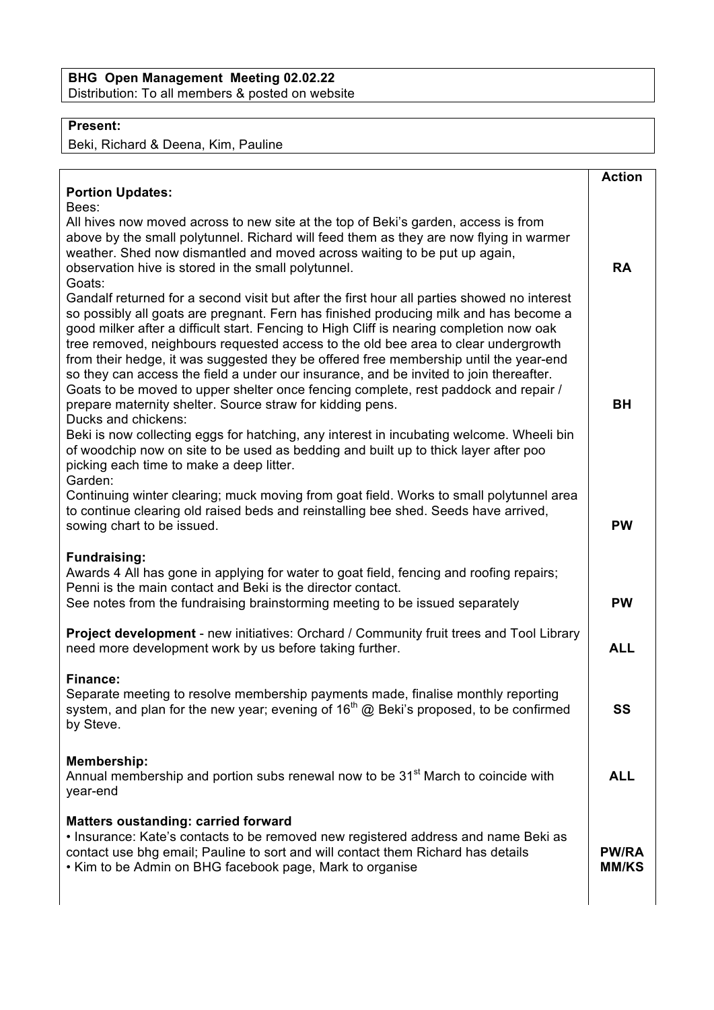## **Present:**

Beki, Richard & Deena, Kim, Pauline

|                                                                                                                                                                                                                                                                                                                                                                                                                                                                                                                                                                                                                                                                                                                                      | <b>Action</b>                |
|--------------------------------------------------------------------------------------------------------------------------------------------------------------------------------------------------------------------------------------------------------------------------------------------------------------------------------------------------------------------------------------------------------------------------------------------------------------------------------------------------------------------------------------------------------------------------------------------------------------------------------------------------------------------------------------------------------------------------------------|------------------------------|
| <b>Portion Updates:</b>                                                                                                                                                                                                                                                                                                                                                                                                                                                                                                                                                                                                                                                                                                              |                              |
| Bees:<br>All hives now moved across to new site at the top of Beki's garden, access is from<br>above by the small polytunnel. Richard will feed them as they are now flying in warmer<br>weather. Shed now dismantled and moved across waiting to be put up again,<br>observation hive is stored in the small polytunnel.<br>Goats:                                                                                                                                                                                                                                                                                                                                                                                                  | <b>RA</b>                    |
| Gandalf returned for a second visit but after the first hour all parties showed no interest<br>so possibly all goats are pregnant. Fern has finished producing milk and has become a<br>good milker after a difficult start. Fencing to High Cliff is nearing completion now oak<br>tree removed, neighbours requested access to the old bee area to clear undergrowth<br>from their hedge, it was suggested they be offered free membership until the year-end<br>so they can access the field a under our insurance, and be invited to join thereafter.<br>Goats to be moved to upper shelter once fencing complete, rest paddock and repair /<br>prepare maternity shelter. Source straw for kidding pens.<br>Ducks and chickens: | <b>BH</b>                    |
| Beki is now collecting eggs for hatching, any interest in incubating welcome. Wheeli bin<br>of woodchip now on site to be used as bedding and built up to thick layer after poo<br>picking each time to make a deep litter.<br>Garden:                                                                                                                                                                                                                                                                                                                                                                                                                                                                                               |                              |
| Continuing winter clearing; muck moving from goat field. Works to small polytunnel area<br>to continue clearing old raised beds and reinstalling bee shed. Seeds have arrived,<br>sowing chart to be issued.                                                                                                                                                                                                                                                                                                                                                                                                                                                                                                                         | <b>PW</b>                    |
| <b>Fundraising:</b><br>Awards 4 All has gone in applying for water to goat field, fencing and roofing repairs;<br>Penni is the main contact and Beki is the director contact.<br>See notes from the fundraising brainstorming meeting to be issued separately                                                                                                                                                                                                                                                                                                                                                                                                                                                                        | <b>PW</b>                    |
| Project development - new initiatives: Orchard / Community fruit trees and Tool Library<br>need more development work by us before taking further.                                                                                                                                                                                                                                                                                                                                                                                                                                                                                                                                                                                   | <b>ALL</b>                   |
| <b>Finance:</b><br>Separate meeting to resolve membership payments made, finalise monthly reporting<br>system, and plan for the new year; evening of $16th$ @ Beki's proposed, to be confirmed<br>by Steve.                                                                                                                                                                                                                                                                                                                                                                                                                                                                                                                          | SS                           |
| <b>Membership:</b><br>Annual membership and portion subs renewal now to be 31 <sup>st</sup> March to coincide with<br>year-end                                                                                                                                                                                                                                                                                                                                                                                                                                                                                                                                                                                                       | <b>ALL</b>                   |
| <b>Matters oustanding: carried forward</b><br>· Insurance: Kate's contacts to be removed new registered address and name Beki as<br>contact use bhg email; Pauline to sort and will contact them Richard has details<br>• Kim to be Admin on BHG facebook page, Mark to organise                                                                                                                                                                                                                                                                                                                                                                                                                                                     | <b>PW/RA</b><br><b>MM/KS</b> |